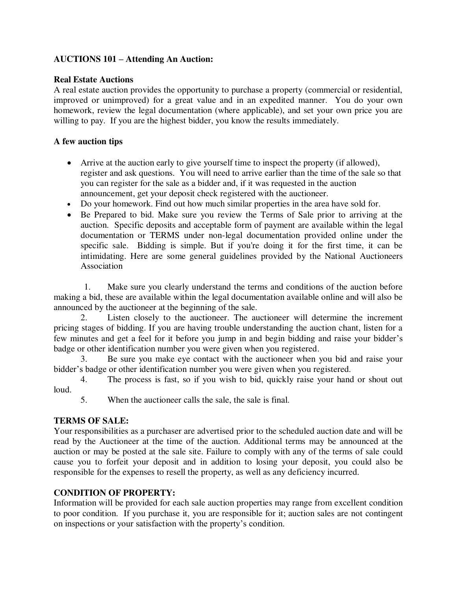# **AUCTIONS 101 – Attending An Auction:**

### **Real Estate Auctions**

A real estate auction provides the opportunity to purchase a property (commercial or residential, improved or unimproved) for a great value and in an expedited manner. You do your own homework, review the legal documentation (where applicable), and set your own price you are willing to pay. If you are the highest bidder, you know the results immediately.

## **A few auction tips**

- Arrive at the auction early to give yourself time to inspect the property (if allowed), register and ask questions. You will need to arrive earlier than the time of the sale so that you can register for the sale as a bidder and, if it was requested in the auction announcement, get your deposit check registered with the auctioneer.
- Do your homework. Find out how much similar properties in the area have sold for.
- Be Prepared to bid. Make sure you review the Terms of Sale prior to arriving at the auction. Specific deposits and acceptable form of payment are available within the legal documentation or TERMS under non-legal documentation provided online under the specific sale. Bidding is simple. But if you're doing it for the first time, it can be intimidating. Here are some general guidelines provided by the National Auctioneers Association

1. Make sure you clearly understand the terms and conditions of the auction before making a bid, these are available within the legal documentation available online and will also be announced by the auctioneer at the beginning of the sale.

 2. Listen closely to the auctioneer. The auctioneer will determine the increment pricing stages of bidding. If you are having trouble understanding the auction chant, listen for a few minutes and get a feel for it before you jump in and begin bidding and raise your bidder's badge or other identification number you were given when you registered.

 3. Be sure you make eye contact with the auctioneer when you bid and raise your bidder's badge or other identification number you were given when you registered.

 4. The process is fast, so if you wish to bid, quickly raise your hand or shout out loud.

5. When the auctioneer calls the sale, the sale is final.

# **TERMS OF SALE:**

Your responsibilities as a purchaser are advertised prior to the scheduled auction date and will be read by the Auctioneer at the time of the auction. Additional terms may be announced at the auction or may be posted at the sale site. Failure to comply with any of the terms of sale could cause you to forfeit your deposit and in addition to losing your deposit, you could also be responsible for the expenses to resell the property, as well as any deficiency incurred.

# **CONDITION OF PROPERTY:**

Information will be provided for each sale auction properties may range from excellent condition to poor condition. If you purchase it, you are responsible for it; auction sales are not contingent on inspections or your satisfaction with the property's condition.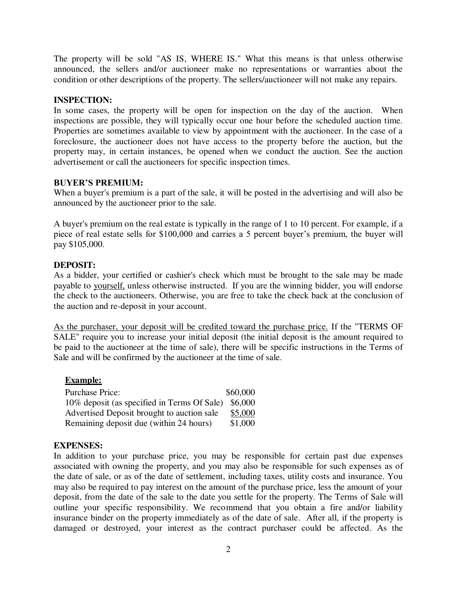The property will be sold "AS IS, WHERE IS." What this means is that unless otherwise announced, the sellers and/or auctioneer make no representations or warranties about the condition or other descriptions of the property. The sellers/auctioneer will not make any repairs.

### **INSPECTION:**

In some cases, the property will be open for inspection on the day of the auction. When inspections are possible, they will typically occur one hour before the scheduled auction time. Properties are sometimes available to view by appointment with the auctioneer. In the case of a foreclosure, the auctioneer does not have access to the property before the auction, but the property may, in certain instances, be opened when we conduct the auction. See the auction advertisement or call the auctioneers for specific inspection times.

## **BUYER'S PREMIUM:**

When a buyer's premium is a part of the sale, it will be posted in the advertising and will also be announced by the auctioneer prior to the sale.

A buyer's premium on the real estate is typically in the range of 1 to 10 percent. For example, if a piece of real estate sells for \$100,000 and carries a 5 percent buyer's premium, the buyer will pay \$105,000.

## **DEPOSIT:**

As a bidder, your certified or cashier's check which must be brought to the sale may be made payable to yourself, unless otherwise instructed. If you are the winning bidder, you will endorse the check to the auctioneers. Otherwise, you are free to take the check back at the conclusion of the auction and re-deposit in your account.

As the purchaser, your deposit will be credited toward the purchase price. If the "TERMS OF SALE" require you to increase your initial deposit (the initial deposit is the amount required to be paid to the auctioneer at the time of sale), there will be specific instructions in the Terms of Sale and will be confirmed by the auctioneer at the time of sale.

### **Example:**

| <b>Purchase Price:</b>                              | \$60,000 |
|-----------------------------------------------------|----------|
| 10% deposit (as specified in Terms Of Sale) \$6,000 |          |
| Advertised Deposit brought to auction sale          | \$5,000  |
| Remaining deposit due (within 24 hours)             | \$1,000  |

### **EXPENSES:**

In addition to your purchase price, you may be responsible for certain past due expenses associated with owning the property, and you may also be responsible for such expenses as of the date of sale, or as of the date of settlement, including taxes, utility costs and insurance. You may also be required to pay interest on the amount of the purchase price, less the amount of your deposit, from the date of the sale to the date you settle for the property. The Terms of Sale will outline your specific responsibility. We recommend that you obtain a fire and/or liability insurance binder on the property immediately as of the date of sale. After all, if the property is damaged or destroyed, your interest as the contract purchaser could be affected. As the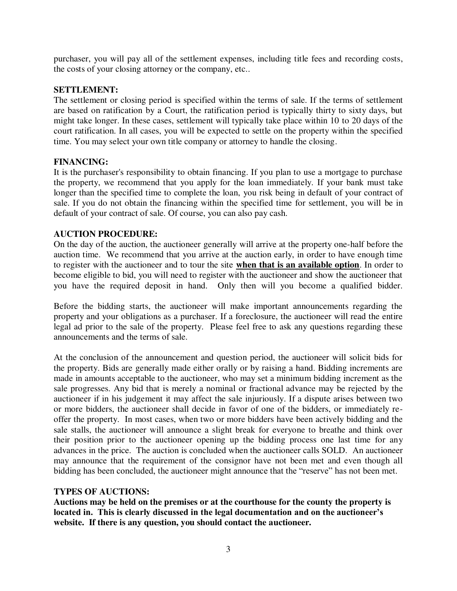purchaser, you will pay all of the settlement expenses, including title fees and recording costs, the costs of your closing attorney or the company, etc..

### **SETTLEMENT:**

The settlement or closing period is specified within the terms of sale. If the terms of settlement are based on ratification by a Court, the ratification period is typically thirty to sixty days, but might take longer. In these cases, settlement will typically take place within 10 to 20 days of the court ratification. In all cases, you will be expected to settle on the property within the specified time. You may select your own title company or attorney to handle the closing.

## **FINANCING:**

It is the purchaser's responsibility to obtain financing. If you plan to use a mortgage to purchase the property, we recommend that you apply for the loan immediately. If your bank must take longer than the specified time to complete the loan, you risk being in default of your contract of sale. If you do not obtain the financing within the specified time for settlement, you will be in default of your contract of sale. Of course, you can also pay cash.

## **AUCTION PROCEDURE:**

On the day of the auction, the auctioneer generally will arrive at the property one-half before the auction time. We recommend that you arrive at the auction early, in order to have enough time to register with the auctioneer and to tour the site **when that is an available option**. In order to become eligible to bid, you will need to register with the auctioneer and show the auctioneer that you have the required deposit in hand. Only then will you become a qualified bidder.

Before the bidding starts, the auctioneer will make important announcements regarding the property and your obligations as a purchaser. If a foreclosure, the auctioneer will read the entire legal ad prior to the sale of the property. Please feel free to ask any questions regarding these announcements and the terms of sale.

At the conclusion of the announcement and question period, the auctioneer will solicit bids for the property. Bids are generally made either orally or by raising a hand. Bidding increments are made in amounts acceptable to the auctioneer, who may set a minimum bidding increment as the sale progresses. Any bid that is merely a nominal or fractional advance may be rejected by the auctioneer if in his judgement it may affect the sale injuriously. If a dispute arises between two or more bidders, the auctioneer shall decide in favor of one of the bidders, or immediately reoffer the property. In most cases, when two or more bidders have been actively bidding and the sale stalls, the auctioneer will announce a slight break for everyone to breathe and think over their position prior to the auctioneer opening up the bidding process one last time for any advances in the price. The auction is concluded when the auctioneer calls SOLD. An auctioneer may announce that the requirement of the consignor have not been met and even though all bidding has been concluded, the auctioneer might announce that the "reserve" has not been met.

### **TYPES OF AUCTIONS:**

**Auctions may be held on the premises or at the courthouse for the county the property is located in. This is clearly discussed in the legal documentation and on the auctioneer's website. If there is any question, you should contact the auctioneer.**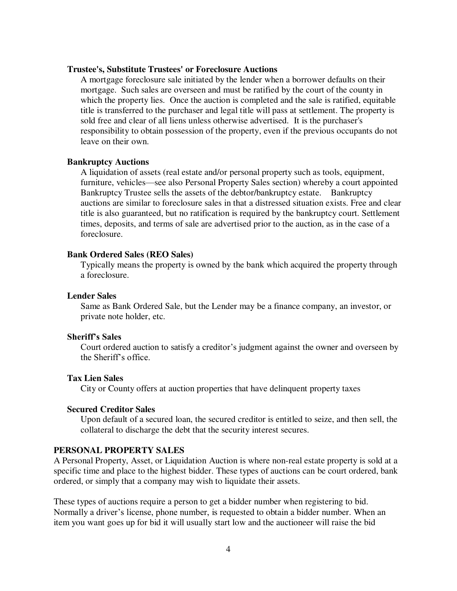#### **Trustee's, Substitute Trustees' or Foreclosure Auctions**

A mortgage foreclosure sale initiated by the lender when a borrower defaults on their mortgage. Such sales are overseen and must be ratified by the court of the county in which the property lies. Once the auction is completed and the sale is ratified, equitable title is transferred to the purchaser and legal title will pass at settlement. The property is sold free and clear of all liens unless otherwise advertised. It is the purchaser's responsibility to obtain possession of the property, even if the previous occupants do not leave on their own.

### **Bankruptcy Auctions**

A liquidation of assets (real estate and/or personal property such as tools, equipment, furniture, vehicles—see also Personal Property Sales section) whereby a court appointed Bankruptcy Trustee sells the assets of the debtor/bankruptcy estate. Bankruptcy auctions are similar to foreclosure sales in that a distressed situation exists. Free and clear title is also guaranteed, but no ratification is required by the bankruptcy court. Settlement times, deposits, and terms of sale are advertised prior to the auction, as in the case of a foreclosure.

### **Bank Ordered Sales (REO Sales)**

Typically means the property is owned by the bank which acquired the property through a foreclosure.

#### **Lender Sales**

Same as Bank Ordered Sale, but the Lender may be a finance company, an investor, or private note holder, etc.

#### **Sheriff's Sales**

Court ordered auction to satisfy a creditor's judgment against the owner and overseen by the Sheriff's office.

#### **Tax Lien Sales**

City or County offers at auction properties that have delinquent property taxes

#### **Secured Creditor Sales**

Upon default of a secured loan, the secured creditor is entitled to seize, and then sell, the collateral to discharge the debt that the security interest secures.

### **PERSONAL PROPERTY SALES**

A Personal Property, Asset, or Liquidation Auction is where non-real estate property is sold at a specific time and place to the highest bidder. These types of auctions can be court ordered, bank ordered, or simply that a company may wish to liquidate their assets.

These types of auctions require a person to get a bidder number when registering to bid. Normally a driver's license, phone number, is requested to obtain a bidder number. When an item you want goes up for bid it will usually start low and the auctioneer will raise the bid